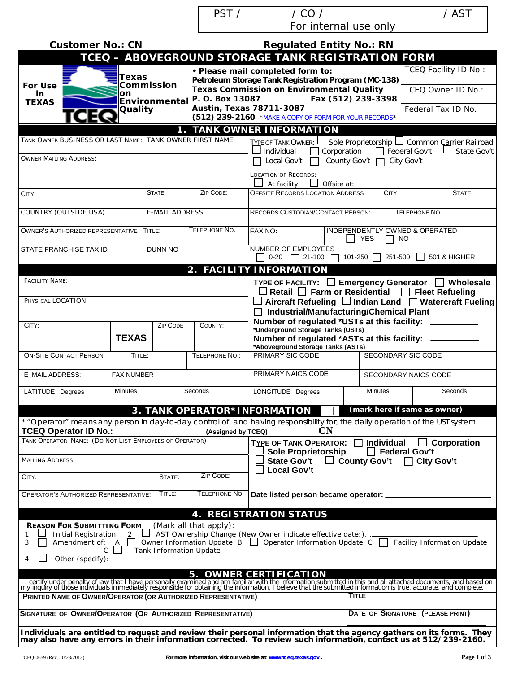PST / / CO / / AST For internal use only

| <b>Customer No.: CN</b>                                                                  |                   |                                                                                          |                        | <b>Regulated Entity No.: RN</b>                                                                                                                                                                                                            |                                           |                                     |  |
|------------------------------------------------------------------------------------------|-------------------|------------------------------------------------------------------------------------------|------------------------|--------------------------------------------------------------------------------------------------------------------------------------------------------------------------------------------------------------------------------------------|-------------------------------------------|-------------------------------------|--|
|                                                                                          |                   |                                                                                          |                        | TCEQ - ABOVEGROUND STORAGE TANK REGISTRATION FORM                                                                                                                                                                                          |                                           |                                     |  |
| Texas<br>Commission<br><b>For Use</b>                                                    |                   |                                                                                          |                        | · Please mail completed form to:<br>Petroleum Storage Tank Registration Program (MC-138)                                                                                                                                                   |                                           | <b>TCEQ Facility ID No.:</b>        |  |
| on<br>in<br>Environmental <sup>P.</sup> O. Box 13087<br><b>TEXAS</b><br>Quality          |                   |                                                                                          |                        | <b>Texas Commission on Environmental Quality</b><br>Fax (512) 239-3398                                                                                                                                                                     |                                           | TCEQ Owner ID No.:                  |  |
|                                                                                          |                   | <b>Austin, Texas 78711-3087</b><br>(512) 239-2160 *MAKE A COPY OF FORM FOR YOUR RECORDS* |                        |                                                                                                                                                                                                                                            | Federal Tax ID No.:                       |                                     |  |
|                                                                                          |                   |                                                                                          |                        | 1. TANK OWNER INFORMATION                                                                                                                                                                                                                  |                                           |                                     |  |
| TANK OWNER BUSINESS OR LAST NAME: TANK OWNER FIRST NAME                                  |                   |                                                                                          |                        | TYPE OF TANK OWNER: LJ Sole Proprietorship LJ Common Carrier Railroad<br>$\Box$ Individual<br>Corporation                                                                                                                                  |                                           | $\Box$ Federal Gov't<br>State Gov't |  |
| <b>OWNER MAILING ADDRESS:</b>                                                            |                   |                                                                                          |                        | County Gov't<br>Local Gov't                                                                                                                                                                                                                |                                           | City Gov't                          |  |
|                                                                                          |                   |                                                                                          |                        | <b>LOCATION OF RECORDS:</b><br>Offsite at:<br>At facility                                                                                                                                                                                  |                                           |                                     |  |
| CITY:                                                                                    |                   | STATE:                                                                                   | ZIP CODE:              | <b>OFFSITE RECORDS LOCATION ADDRESS</b>                                                                                                                                                                                                    | <b>CITY</b>                               | <b>STATE</b>                        |  |
| COUNTRY (OUTSIDE USA)                                                                    |                   | <b>E-MAIL ADDRESS</b>                                                                    |                        | <b>RECORDS CUSTODIAN/CONTACT PERSON:</b>                                                                                                                                                                                                   |                                           | TELEPHONE NO.                       |  |
| OWNER'S AUTHORIZED REPRESENTATIVE TITLE:                                                 |                   |                                                                                          | TELEPHONE NO.          | FAX NO:                                                                                                                                                                                                                                    | YES<br><b>NO</b>                          | INDEPENDENTLY OWNED & OPERATED      |  |
| STATE FRANCHISE TAX ID                                                                   |                   | <b>DUNN NO</b>                                                                           |                        | <b>NUMBER OF EMPLOYEES</b><br>$\Box$ 0-20 $\Box$ 21-100 $\Box$ 101-250 $\Box$ 251-500 $\Box$                                                                                                                                               |                                           | 501 & HIGHER                        |  |
|                                                                                          |                   |                                                                                          |                        | 2. FACILITY INFORMATION                                                                                                                                                                                                                    |                                           |                                     |  |
| <b>FACILITY NAME:</b>                                                                    |                   |                                                                                          |                        | TYPE OF FACILITY: □ Emergency Generator □ Wholesale<br>$\Box$ Retail $\Box$ Farm or Residential $\Box$ Fleet Refueling                                                                                                                     |                                           |                                     |  |
| PHYSICAL LOCATION:                                                                       |                   |                                                                                          |                        | $\Box$ Aircraft Refueling $\Box$ Indian Land $\Box$ Watercraft Fueling<br>□ Industrial/Manufacturing/Chemical Plant                                                                                                                        |                                           |                                     |  |
| CITY:                                                                                    |                   | <b>ZIP CODE</b>                                                                          | COUNTY:                | Number of regulated *USTs at this facility:                                                                                                                                                                                                |                                           |                                     |  |
|                                                                                          | <b>TEXAS</b>      |                                                                                          |                        | *Underground Storage Tanks (USTs)<br>Number of regulated *ASTs at this facility:<br>*Aboveground Storage Tanks (ASTs)                                                                                                                      |                                           |                                     |  |
| <b>ON-SITE CONTACT PERSON</b>                                                            | TITLE:            |                                                                                          | TELEPHONE NO.:         | PRIMARY SIC CODE                                                                                                                                                                                                                           | SECONDARY SIC CODE                        |                                     |  |
| E_MAIL ADDRESS:                                                                          | <b>FAX NUMBER</b> |                                                                                          |                        | PRIMARY NAICS CODE                                                                                                                                                                                                                         | SECONDARY NAICS CODE                      |                                     |  |
| LATITUDE Degrees                                                                         | <b>Minutes</b>    |                                                                                          | Seconds                | LONGITUDE Degrees                                                                                                                                                                                                                          | Minutes                                   | Seconds                             |  |
|                                                                                          |                   |                                                                                          |                        | 3. TANK OPERATOR*INFORMATION                                                                                                                                                                                                               |                                           | (mark here if same as owner)        |  |
| <b>TCEQ Operator ID No.:</b>                                                             |                   |                                                                                          | (Assigned by TCEQ)     | * "Operator" means any person in day-to-day control of, and having responsibility for, the daily operation of the USI system.<br>CN                                                                                                        |                                           |                                     |  |
| TANK OPERATOR NAME: (DO NOT LIST EMPLOYEES OF OPERATOR)                                  |                   |                                                                                          |                        | TYPE OF TANK OPERATOR:<br><b>Sole Proprietorship</b>                                                                                                                                                                                       | <b>Individual</b><br>$\Box$ Federal Gov't | $\Box$ Corporation                  |  |
| <b>MAILING ADDRESS:</b>                                                                  |                   |                                                                                          |                        | <b>State Gov't</b><br>$\Box$ County Gov't<br>□ City Gov't<br>$\perp$ Local Gov't                                                                                                                                                           |                                           |                                     |  |
| CITY:                                                                                    |                   | STATE:                                                                                   | ZIP CODE:              |                                                                                                                                                                                                                                            |                                           |                                     |  |
| <b>OPERATOR'S AUTHORIZED REPRESENTATIVE:</b>                                             |                   | TITLE:                                                                                   | <b>TELEPHONE NO:</b>   | Date listed person became operator: _                                                                                                                                                                                                      |                                           |                                     |  |
|                                                                                          |                   |                                                                                          |                        | <b>4. REGISTRATION STATUS</b>                                                                                                                                                                                                              |                                           |                                     |  |
| <b>REASON FOR SUBMITTING FORM</b><br><b>Initial Registration</b><br>Amendment of: A<br>3 | $\mathbf{L}$      |                                                                                          | (Mark all that apply): | AST Ownership Change (New Owner indicate effective date:)<br>Owner Information Update B □ Operator Information Update C □                                                                                                                  |                                           | <b>Facility Information Update</b>  |  |
| C.<br>Other (specify):<br>4.                                                             |                   | Tank Information Update                                                                  |                        |                                                                                                                                                                                                                                            |                                           |                                     |  |
|                                                                                          |                   |                                                                                          | 5.                     | <b>OWNER CERTIFICATION</b>                                                                                                                                                                                                                 |                                           |                                     |  |
| PRINTED NAME OF OWNER/OPERATOR (OR AUTHORIZED REPRESENTATIVE)                            |                   |                                                                                          |                        | I certify under penalty of law that I have personally examined and am familiar with the information submitted in this and all attached documents, and based on<br>Iny inquiry of those individuals immediately responsible for ob<br>TITLE |                                           |                                     |  |
| SIGNATURE OF OWNER/OPERATOR (OR AUTHORIZED REPRESENTATIVE)                               |                   |                                                                                          |                        |                                                                                                                                                                                                                                            |                                           | DATE OF SIGNATURE (PLEASE PRINT)    |  |
|                                                                                          |                   |                                                                                          |                        |                                                                                                                                                                                                                                            |                                           |                                     |  |
|                                                                                          |                   |                                                                                          |                        | Individuals are entitled to request and review their personal information that the agency gathers on its forms. They<br>may also have any errors in their information corrected. To review such information, contact us at 512/239-2160.   |                                           |                                     |  |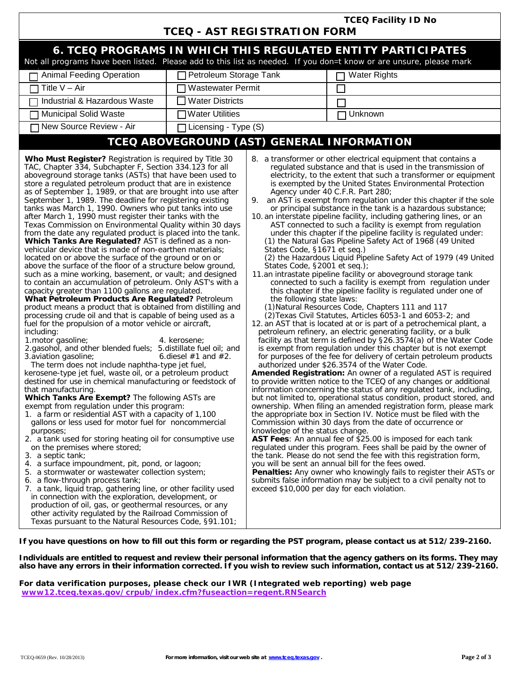|                                                                                                                                                                                                                                                                                                                                                                                                                                                                                                                                                                                                                                                                                                                                                                                                                                                                                                                                                                                                                                                                                                                                                                                                                                                                                                                                                                                                                                                                                                                                                                                                                                                                                                                                                                                                                                                                                                                                                                                                                                                                                                                                                                                                                                                                                                                                                                                                                                        | <b>TCEQ Facility ID No</b>                |                                                                                                                             |                                                                                                                                                                                                                                                                                                                                                                                                                                                                                                                                                                                                                                                                                                                                                                                                                                                                                                                                                                                                                                                                                                                                                                                                                                                                                                                                                                                                                                                                                                                                                                                                                                                                                                                                                                                                                                                                                                                                                                                                                                                                                                                                                                                                                                                                                                                                                                                                                                                                      |  |  |  |
|----------------------------------------------------------------------------------------------------------------------------------------------------------------------------------------------------------------------------------------------------------------------------------------------------------------------------------------------------------------------------------------------------------------------------------------------------------------------------------------------------------------------------------------------------------------------------------------------------------------------------------------------------------------------------------------------------------------------------------------------------------------------------------------------------------------------------------------------------------------------------------------------------------------------------------------------------------------------------------------------------------------------------------------------------------------------------------------------------------------------------------------------------------------------------------------------------------------------------------------------------------------------------------------------------------------------------------------------------------------------------------------------------------------------------------------------------------------------------------------------------------------------------------------------------------------------------------------------------------------------------------------------------------------------------------------------------------------------------------------------------------------------------------------------------------------------------------------------------------------------------------------------------------------------------------------------------------------------------------------------------------------------------------------------------------------------------------------------------------------------------------------------------------------------------------------------------------------------------------------------------------------------------------------------------------------------------------------------------------------------------------------------------------------------------------------|-------------------------------------------|-----------------------------------------------------------------------------------------------------------------------------|----------------------------------------------------------------------------------------------------------------------------------------------------------------------------------------------------------------------------------------------------------------------------------------------------------------------------------------------------------------------------------------------------------------------------------------------------------------------------------------------------------------------------------------------------------------------------------------------------------------------------------------------------------------------------------------------------------------------------------------------------------------------------------------------------------------------------------------------------------------------------------------------------------------------------------------------------------------------------------------------------------------------------------------------------------------------------------------------------------------------------------------------------------------------------------------------------------------------------------------------------------------------------------------------------------------------------------------------------------------------------------------------------------------------------------------------------------------------------------------------------------------------------------------------------------------------------------------------------------------------------------------------------------------------------------------------------------------------------------------------------------------------------------------------------------------------------------------------------------------------------------------------------------------------------------------------------------------------------------------------------------------------------------------------------------------------------------------------------------------------------------------------------------------------------------------------------------------------------------------------------------------------------------------------------------------------------------------------------------------------------------------------------------------------------------------------------------------------|--|--|--|
|                                                                                                                                                                                                                                                                                                                                                                                                                                                                                                                                                                                                                                                                                                                                                                                                                                                                                                                                                                                                                                                                                                                                                                                                                                                                                                                                                                                                                                                                                                                                                                                                                                                                                                                                                                                                                                                                                                                                                                                                                                                                                                                                                                                                                                                                                                                                                                                                                                        |                                           | <b>TCEQ - AST REGISTRATION FORM</b>                                                                                         |                                                                                                                                                                                                                                                                                                                                                                                                                                                                                                                                                                                                                                                                                                                                                                                                                                                                                                                                                                                                                                                                                                                                                                                                                                                                                                                                                                                                                                                                                                                                                                                                                                                                                                                                                                                                                                                                                                                                                                                                                                                                                                                                                                                                                                                                                                                                                                                                                                                                      |  |  |  |
| 6. TCEQ PROGRAMS IN WHICH THIS REGULATED ENTITY PARTICIPATES<br>Not all programs have been listed. Please add to this list as needed. If you don=t know or are unsure, please mark                                                                                                                                                                                                                                                                                                                                                                                                                                                                                                                                                                                                                                                                                                                                                                                                                                                                                                                                                                                                                                                                                                                                                                                                                                                                                                                                                                                                                                                                                                                                                                                                                                                                                                                                                                                                                                                                                                                                                                                                                                                                                                                                                                                                                                                     |                                           |                                                                                                                             |                                                                                                                                                                                                                                                                                                                                                                                                                                                                                                                                                                                                                                                                                                                                                                                                                                                                                                                                                                                                                                                                                                                                                                                                                                                                                                                                                                                                                                                                                                                                                                                                                                                                                                                                                                                                                                                                                                                                                                                                                                                                                                                                                                                                                                                                                                                                                                                                                                                                      |  |  |  |
| <b>Animal Feeding Operation</b>                                                                                                                                                                                                                                                                                                                                                                                                                                                                                                                                                                                                                                                                                                                                                                                                                                                                                                                                                                                                                                                                                                                                                                                                                                                                                                                                                                                                                                                                                                                                                                                                                                                                                                                                                                                                                                                                                                                                                                                                                                                                                                                                                                                                                                                                                                                                                                                                        | Petroleum Storage Tank                    |                                                                                                                             | <b>Water Rights</b>                                                                                                                                                                                                                                                                                                                                                                                                                                                                                                                                                                                                                                                                                                                                                                                                                                                                                                                                                                                                                                                                                                                                                                                                                                                                                                                                                                                                                                                                                                                                                                                                                                                                                                                                                                                                                                                                                                                                                                                                                                                                                                                                                                                                                                                                                                                                                                                                                                                  |  |  |  |
| Title $V - Air$                                                                                                                                                                                                                                                                                                                                                                                                                                                                                                                                                                                                                                                                                                                                                                                                                                                                                                                                                                                                                                                                                                                                                                                                                                                                                                                                                                                                                                                                                                                                                                                                                                                                                                                                                                                                                                                                                                                                                                                                                                                                                                                                                                                                                                                                                                                                                                                                                        | <b>Wastewater Permit</b>                  |                                                                                                                             |                                                                                                                                                                                                                                                                                                                                                                                                                                                                                                                                                                                                                                                                                                                                                                                                                                                                                                                                                                                                                                                                                                                                                                                                                                                                                                                                                                                                                                                                                                                                                                                                                                                                                                                                                                                                                                                                                                                                                                                                                                                                                                                                                                                                                                                                                                                                                                                                                                                                      |  |  |  |
| Industrial & Hazardous Waste                                                                                                                                                                                                                                                                                                                                                                                                                                                                                                                                                                                                                                                                                                                                                                                                                                                                                                                                                                                                                                                                                                                                                                                                                                                                                                                                                                                                                                                                                                                                                                                                                                                                                                                                                                                                                                                                                                                                                                                                                                                                                                                                                                                                                                                                                                                                                                                                           | <b>Water Districts</b>                    |                                                                                                                             |                                                                                                                                                                                                                                                                                                                                                                                                                                                                                                                                                                                                                                                                                                                                                                                                                                                                                                                                                                                                                                                                                                                                                                                                                                                                                                                                                                                                                                                                                                                                                                                                                                                                                                                                                                                                                                                                                                                                                                                                                                                                                                                                                                                                                                                                                                                                                                                                                                                                      |  |  |  |
| <b>Municipal Solid Waste</b>                                                                                                                                                                                                                                                                                                                                                                                                                                                                                                                                                                                                                                                                                                                                                                                                                                                                                                                                                                                                                                                                                                                                                                                                                                                                                                                                                                                                                                                                                                                                                                                                                                                                                                                                                                                                                                                                                                                                                                                                                                                                                                                                                                                                                                                                                                                                                                                                           | <b>TWater Utilities</b>                   |                                                                                                                             | Unknown                                                                                                                                                                                                                                                                                                                                                                                                                                                                                                                                                                                                                                                                                                                                                                                                                                                                                                                                                                                                                                                                                                                                                                                                                                                                                                                                                                                                                                                                                                                                                                                                                                                                                                                                                                                                                                                                                                                                                                                                                                                                                                                                                                                                                                                                                                                                                                                                                                                              |  |  |  |
| New Source Review - Air                                                                                                                                                                                                                                                                                                                                                                                                                                                                                                                                                                                                                                                                                                                                                                                                                                                                                                                                                                                                                                                                                                                                                                                                                                                                                                                                                                                                                                                                                                                                                                                                                                                                                                                                                                                                                                                                                                                                                                                                                                                                                                                                                                                                                                                                                                                                                                                                                | Licensing - Type (S)                      |                                                                                                                             |                                                                                                                                                                                                                                                                                                                                                                                                                                                                                                                                                                                                                                                                                                                                                                                                                                                                                                                                                                                                                                                                                                                                                                                                                                                                                                                                                                                                                                                                                                                                                                                                                                                                                                                                                                                                                                                                                                                                                                                                                                                                                                                                                                                                                                                                                                                                                                                                                                                                      |  |  |  |
|                                                                                                                                                                                                                                                                                                                                                                                                                                                                                                                                                                                                                                                                                                                                                                                                                                                                                                                                                                                                                                                                                                                                                                                                                                                                                                                                                                                                                                                                                                                                                                                                                                                                                                                                                                                                                                                                                                                                                                                                                                                                                                                                                                                                                                                                                                                                                                                                                                        |                                           |                                                                                                                             | TCEQ ABOVEGROUND (AST) GENERAL INFORMATION                                                                                                                                                                                                                                                                                                                                                                                                                                                                                                                                                                                                                                                                                                                                                                                                                                                                                                                                                                                                                                                                                                                                                                                                                                                                                                                                                                                                                                                                                                                                                                                                                                                                                                                                                                                                                                                                                                                                                                                                                                                                                                                                                                                                                                                                                                                                                                                                                           |  |  |  |
| Who Must Register? Registration is required by Title 30<br>TAC, Chapter 334, Subchapter F, Section 334.123 for all<br>aboveground storage tanks (ASTs) that have been used to<br>store a regulated petroleum product that are in existence<br>as of September 1, 1989, or that are brought into use after<br>September 1, 1989. The deadline for registering existing<br>tanks was March 1, 1990. Owners who put tanks into use<br>after March 1, 1990 must register their tanks with the<br>Texas Commission on Environmental Quality within 30 days<br>from the date any regulated product is placed into the tank.<br>Which Tanks Are Regulated? AST is defined as a non-<br>vehicular device that is made of non-earthen materials;<br>located on or above the surface of the ground or on or<br>above the surface of the floor of a structure below ground,<br>such as a mine working, basement, or vault; and designed<br>to contain an accumulation of petroleum. Only AST's with a<br>capacity greater than 1100 gallons are regulated.<br>What Petroleum Products Are Regulated? Petroleum<br>product means a product that is obtained from distilling and<br>processing crude oil and that is capable of being used as a<br>fuel for the propulsion of a motor vehicle or aircraft,<br>including:<br>1. motor gasoline;<br>2.gasohol, and other blended fuels; 5.distillate fuel oil; and<br>3.aviation gasoline;<br>The term does not include naphtha-type jet fuel,<br>kerosene-type jet fuel, waste oil, or a petroleum product<br>destined for use in chemical manufacturing or feedstock of<br>that manufacturing.<br>Which Tanks Are Exempt? The following ASTs are<br>exempt from regulation under this program:<br>1. a farm or residential AST with a capacity of 1,100<br>gallons or less used for motor fuel for noncommercial<br>purposes;<br>2. a tank used for storing heating oil for consumptive use<br>on the premises where stored;<br>3. a septic tank;<br>4. a surface impoundment, pit, pond, or lagoon;<br>5. a stormwater or wastewater collection system;<br>6. a flow-through process tank;<br>7. a tank, liquid trap, gathering line, or other facility used<br>in connection with the exploration, development, or<br>production of oil, gas, or geothermal resources, or any<br>other activity regulated by the Railroad Commission of<br>Texas pursuant to the Natural Resources Code, §91.101; | 4. kerosene;<br>6. diesel $#1$ and $#2$ . | States Code, §1671 et seq.)<br>States Code, §2001 et seq.);<br>the following state laws:<br>knowledge of the status change. | 8. a transformer or other electrical equipment that contains a<br>regulated substance and that is used in the transmission of<br>electricity, to the extent that such a transformer or equipment<br>is exempted by the United States Environmental Protection<br>Agency under 40 C.F.R. Part 280;<br>9. an AST is exempt from regulation under this chapter if the sole<br>or principal substance in the tank is a hazardous substance;<br>10. an interstate pipeline facility, including gathering lines, or an<br>AST connected to such a facility is exempt from regulation<br>under this chapter if the pipeline facility is regulated under:<br>(1) the Natural Gas Pipeline Safety Act of 1968 (49 United<br>(2) the Hazardous Liquid Pipeline Safety Act of 1979 (49 United<br>11.an intrastate pipeline facility or aboveground storage tank<br>connected to such a facility is exempt from regulation under<br>this chapter if the pipeline facility is regulated under one of<br>(1) Natural Resources Code, Chapters 111 and 117<br>(2) Texas Civil Statutes, Articles 6053-1 and 6053-2; and<br>12. an AST that is located at or is part of a petrochemical plant, a<br>petroleum refinery, an electric generating facility, or a bulk<br>facility as that term is defined by §26.3574(a) of the Water Code<br>is exempt from regulation under this chapter but is not exempt<br>for purposes of the fee for delivery of certain petroleum products<br>authorized under \$26.3574 of the Water Code.<br>Amended Registration: An owner of a regulated AST is required<br>to provide written notice to the TCEQ of any changes or additional<br>information concerning the status of any regulated tank, including,<br>but not limited to, operational status condition, product stored, and<br>ownership. When filing an amended registration form, please mark<br>the appropriate box in Section IV. Notice must be filed with the<br>Commission within 30 days from the date of occurrence or<br>AST Fees: An annual fee of \$25.00 is imposed for each tank<br>regulated under this program. Fees shall be paid by the owner of<br>the tank. Please do not send the fee with this registration form,<br>you will be sent an annual bill for the fees owed.<br>Penalties: Any owner who knowingly fails to register their ASTs or<br>submits false information may be subject to a civil penalty not to<br>exceed \$10,000 per day for each violation. |  |  |  |

**If you have questions on how to fill out this form or regarding the PST program, please contact us at 512/239-2160.** 

**Individuals are entitled to request and review their personal information that the agency gathers on its forms. They may also have any errors in their information corrected. If you wish to review such information, contact us at 512/239-2160.**

**For data verification purposes, please check our IWR (Integrated web reporting) web page www12.tceq.texas.gov/crpub/index.cfm?fuseaction=regent.RNSearch**